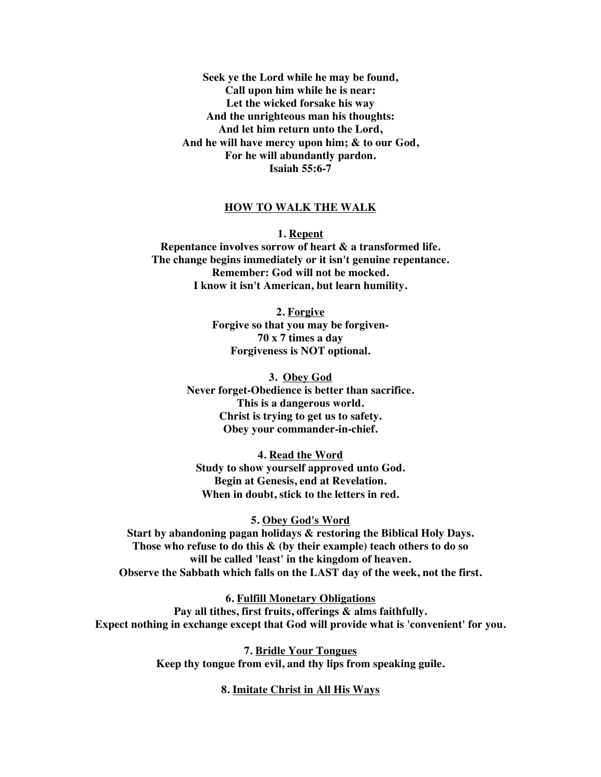**Seek ye the Lord while he may be found, Call upon him while he is near: Let the wicked forsake his way And the unrighteous man his thoughts: And let him return unto the Lord, And he will have mercy upon him; & to our God, For he will abundantly pardon. Isaiah 55:6-7**

## **HOW TO WALK THE WALK**

**1. Repent Repentance involves sorrow of heart & a transformed life. The change begins immediately or it isn't genuine repentance. Remember: God will not be mocked. I know it isn't American, but learn humility.**

> **2. Forgive Forgive so that you may be forgiven-70 x 7 times a day Forgiveness is NOT optional.**

**3. Obey God Never forget-Obedience is better than sacrifice. This is a dangerous world. Christ is trying to get us to safety. Obey your commander-in-chief.**

**4. Read the Word Study to show yourself approved unto God. Begin at Genesis, end at Revelation. When in doubt, stick to the letters in red.**

## **5. Obey God's Word**

**Start by abandoning pagan holidays & restoring the Biblical Holy Days. Those who refuse to do this & (by their example) teach others to do so will be called 'least' in the kingdom of heaven. Observe the Sabbath which falls on the LAST day of the week, not the first.**

**6. Fulfill Monetary Obligations Pay all tithes, first fruits, offerings & alms faithfully. Expect nothing in exchange except that God will provide what is 'convenient' for you.**

> **7. Bridle Your Tongues Keep thy tongue from evil, and thy lips from speaking guile.**

## **8. Imitate Christ in All His Ways**